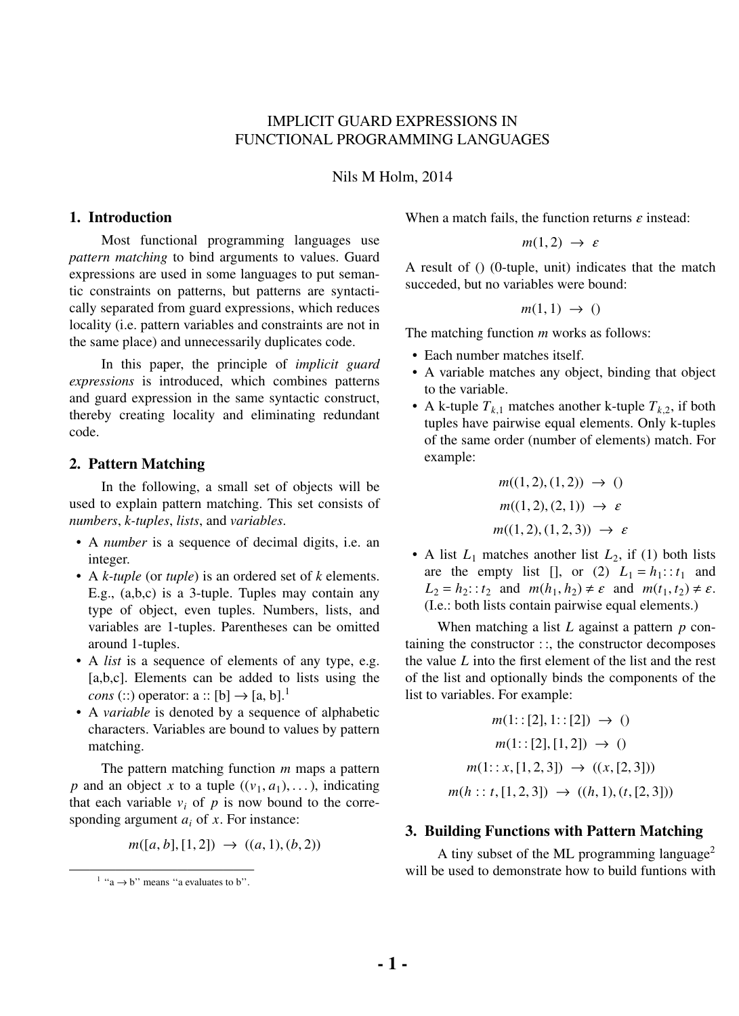# IMPLICIT GUARD EXPRESSIONS IN FUNCTIONAL PROGRAMMING LANGUAGES

Nils M Holm, 2014

#### **1. Introduction**

Most functional programming languages use *pattern matching* to bind arguments to values. Guard expressions are used in some languages to put semantic constraints on patterns, but patterns are syntactically separated from guard expressions, which reduces locality (i.e. pattern variables and constraints are not in the same place) and unnecessarily duplicates code.

In this paper, the principle of *implicit guard expressions* is introduced, which combines patterns and guard expression in the same syntactic construct, thereby creating locality and eliminating redundant code.

#### **2. Pattern Matching**

In the following, a small set of objects will be used to explain pattern matching. This set consists of *numbers*, *k-tuples*, *lists*, and *variables*.

- A *number* is a sequence of decimal digits, i.e. an integer.
- A *k-tuple* (or *tuple*) is an ordered set of *k* elements. E.g., (a,b,c) is a 3-tuple. Tuples may contain any type of object, even tuples. Numbers, lists, and variables are 1-tuples. Parentheses can be omitted around 1-tuples.
- A *list* is a sequence of elements of any type, e.g. [a,b,c]. Elements can be added to lists using the *cons* (:) operator: a :: [b]  $\rightarrow$  [a, b].<sup>1</sup>
- A *variable* is denoted by a sequence of alphabetic characters. Variables are bound to values by pattern matching.

The pattern matching function *m* maps a pattern *p* and an object *x* to a tuple  $((v_1, a_1), \ldots)$ , indicating that each variable  $v_i$  of  $p$  is now bound to the corresponding argument *a<sup>i</sup>* of *x*. For instance:

$$
m([a, b], [1, 2]) \rightarrow ((a, 1), (b, 2))
$$

When a match fails, the function returns  $\varepsilon$  instead:

$$
m(1,2) \rightarrow \varepsilon
$$

A result of () (0-tuple, unit) indicates that the match succeded, but no variables were bound:

$$
m(1,1) \rightarrow 0
$$

The matching function *m* works as follows:

- Each number matches itself.
- A variable matches any object, binding that object to the variable.
- A k-tuple  $T_{k,1}$  matches another k-tuple  $T_{k,2}$ , if both tuples have pairwise equal elements. Only k-tuples of the same order (number of elements) match. For example:

$$
m((1, 2), (1, 2)) \to 0
$$
  

$$
m((1, 2), (2, 1)) \to \varepsilon
$$
  

$$
m((1, 2), (1, 2, 3)) \to \varepsilon
$$

• A list  $L_1$  matches another list  $L_2$ , if (1) both lists are the empty list [], or (2)  $L_1 = h_1$ : :  $t_1$  and  $L_2 = h_2$ :  $t_2$  and  $m(h_1, h_2) \neq \varepsilon$  and  $m(t_1, t_2) \neq \varepsilon$ . (I.e.: both lists contain pairwise equal elements.)

When matching a list *L* against a pattern *p* containing the constructor  $\cdots$ , the constructor decomposes the value *L* into the first element of the list and the rest of the list and optionally binds the components of the list to variables. For example:

$$
m(1::[2], 1::[2]) \rightarrow 0
$$

$$
m(1::[2],[1,2]) \rightarrow 0
$$

$$
m(1: :x, [1,2,3]) \rightarrow ((x, [2,3]))
$$

$$
m(h: :t, [1,2,3]) \rightarrow ((h,1), (t, [2,3]))
$$

#### **3. Building Functions with Pattern Matching**

A tiny subset of the ML programming language<sup>2</sup> will be used to demonstrate how to build funtions with

 $1$  "a  $\rightarrow$  b" means "a evaluates to b".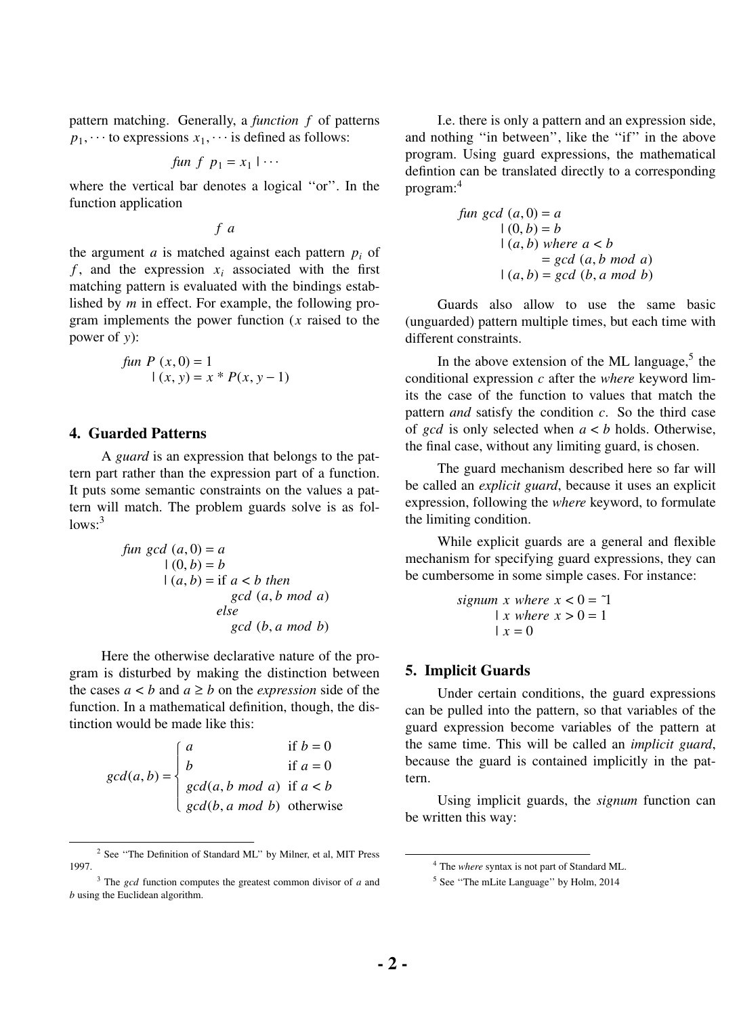pattern matching. Generally, a *function f* of patterns  $p_1$ ,  $\cdots$  to expressions  $x_1$ ,  $\cdots$  is defined as follows:

*fun* 
$$
f
$$
  $p_1 = x_1 \mid \cdots$ 

where the vertical bar denotes a logical ''or''. In the function application

*f a*

the argument  $a$  is matched against each pattern  $p_i$  of  $f$ , and the expression  $x_i$  associated with the first matching pattern is evaluated with the bindings established by *m* in effect. For example, the following program implements the power function (*x* raised to the power of *y*):

*fun P* 
$$
(x, 0) = 1
$$
  
 $|(x, y) = x * P(x, y - 1)$ 

## **4. Guarded Patterns**

A *guard* is an expression that belongs to the pattern part rather than the expression part of a function. It puts some semantic constraints on the values a pattern will match. The problem guards solve is as fol $lows:3$ 

> *fun*  $gcd(a, 0) = a$  $(0, b) = b$  $(a, b) = if a < b then$ *gcd* (*a*, *b mod a*) *else gcd* (*b*, *a mod b*)

Here the otherwise declarative nature of the program is disturbed by making the distinction between the cases  $a < b$  and  $a \ge b$  on the *expression* side of the function. In a mathematical definition, though, the distinction would be made like this:

$$
gcd(a, b) = \begin{cases} a & \text{if } b = 0 \\ b & \text{if } a = 0 \\ gcd(a, b \mod a) & \text{if } a < b \\ gcd(b, a \mod b) & \text{otherwise} \end{cases}
$$

I.e. there is only a pattern and an expression side, and nothing "in between", like the "if" in the above program. Using guard expressions, the mathematical defintion can be translated directly to a corresponding program:<sup>4</sup>

fun gcd (a, 0) = a

\n
$$
|(0, b) = b
$$
\n
$$
|(a, b) \text{ where } a < b
$$
\n
$$
= \gcd(a, b \text{ mod } a)
$$
\n
$$
|(a, b) = \gcd(b, a \text{ mod } b)
$$

Guards also allow to use the same basic (unguarded) pattern multiple times, but each time with different constraints.

In the above extension of the ML language, $5$  the conditional expression *c* after the *where* keyword limits the case of the function to values that match the pattern *and* satisfy the condition *c*. So the third case of *gcd* is only selected when *a* < *b* holds. Otherwise, the final case, without any limiting guard, is chosen.

The guard mechanism described here so far will be called an *explicit guard*, because it uses an explicit expression, following the *where* keyword, to formulate the limiting condition.

While explicit guards are a general and flexible mechanism for specifying guard expressions, they can be cumbersome in some simple cases. For instance:

$$
signum x where x < 0 = 1
$$
  
 | x where x > 0 = 1  
 | x = 0

#### **5. Implicit Guards**

Under certain conditions, the guard expressions can be pulled into the pattern, so that variables of the guard expression become variables of the pattern at the same time. This will be called an *implicit guard*, because the guard is contained implicitly in the pattern.

Using implicit guards, the *signum* function can be written this way:

<sup>&</sup>lt;sup>2</sup> See "The Definition of Standard ML" by Milner, et al, MIT Press 1997.

<sup>3</sup> The *gcd* function computes the greatest common divisor of *a* and *b* using the Euclidean algorithm.

<sup>4</sup> The *where* syntax is not part of Standard ML.

<sup>&</sup>lt;sup>5</sup> See "The mLite Language" by Holm, 2014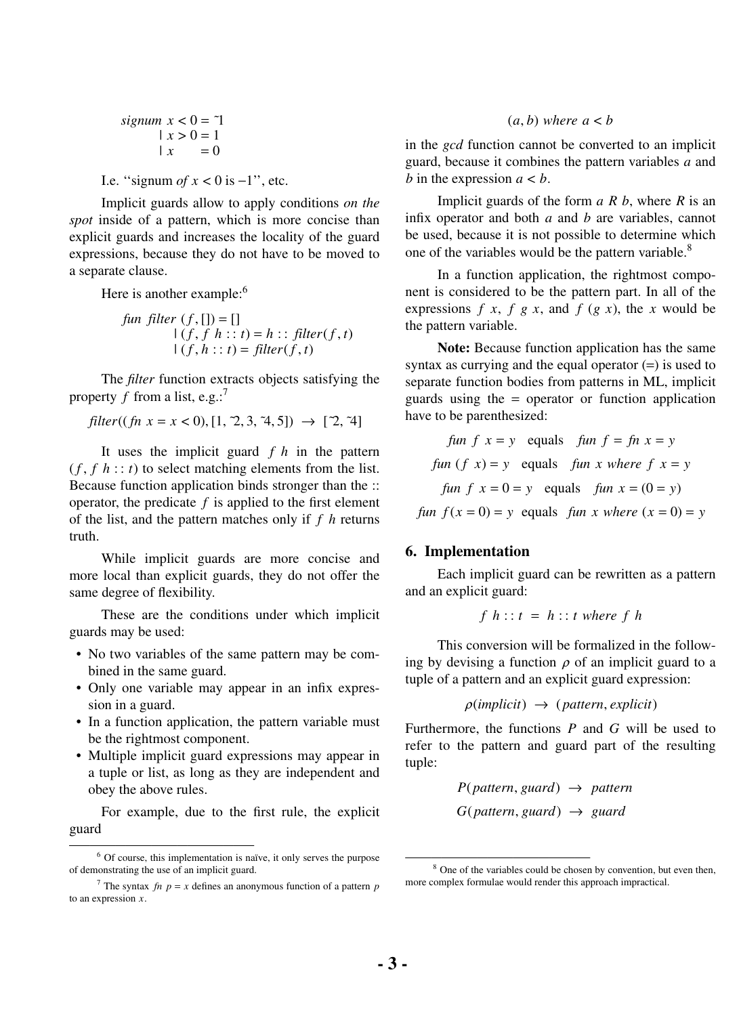$$
signum \ x < 0 = 7
$$
\n
$$
| \ x > 0 = 1
$$
\n
$$
| \ x = 0
$$

I.e. "signum *of x* < 0 is  $-1$ ", etc.

Implicit guards allow to apply conditions *on the spot* inside of a pattern, which is more concise than explicit guards and increases the locality of the guard expressions, because they do not have to be moved to a separate clause.

Here is another example: $6$ 

*fun filter* 
$$
(f, []
$$
) = []  
\n $|(f, f h :: t) = h :: filter(f, t)$   
\n $|(f, h :: t) = filter(f, t)$ 

The *filter* function extracts objects satisfying the property *f* from a list, e.g.:<sup>7</sup>

$$
filter((fn \ x = x < 0), [1, 2, 3, 4, 5]) \rightarrow [2, 4]
$$

It uses the implicit guard *f h* in the pattern  $(f, f h :: t)$  to select matching elements from the list. Because function application binds stronger than the :: operator, the predicate  $f$  is applied to the first element of the list, and the pattern matches only if *f h* returns truth.

While implicit guards are more concise and more local than explicit guards, they do not offer the same degree of flexibility.

These are the conditions under which implicit guards may be used:

- No two variables of the same pattern may be combined in the same guard.
- Only one variable may appear in an infix expression in a guard.
- In a function application, the pattern variable must be the rightmost component.
- Multiple implicit guard expressions may appear in a tuple or list, as long as they are independent and obey the above rules.

For example, due to the first rule, the explicit guard

## $(a, b)$  *where*  $a < b$

in the *gcd* function cannot be converted to an implicit guard, because it combines the pattern variables *a* and *b* in the expression  $a < b$ .

Implicit guards of the form *a R b*, where *R* is an infix operator and both *a* and *b* are variables, cannot be used, because it is not possible to determine which one of the variables would be the pattern variable.<sup>8</sup>

In a function application, the rightmost component is considered to be the pattern part. In all of the expressions  $f(x, f(y, x))$ , and  $f(y, x)$ , the *x* would be the pattern variable.

**Note:** Because function application has the same syntax as currying and the equal operator  $(=)$  is used to separate function bodies from patterns in ML, implicit guards using the = operator or function application have to be parenthesized:

\n
$$
\int \tan f(x) \, dx = y
$$
\n equals\n  $\int \tan f = \int \ln x \, dx = y$ \n

\n\n $\int \tan f(x) \, dx = y$ \n equals\n  $\int \tan x \, dx = \int \tan x \, dx = 0$ \n

\n\n $\int \tan f(x) \, dx = 0$ \n equals\n  $\int \tan x \, dx = 0$ \n implies\n  $\int \tan x \, dx = 0$ \n implies\n  $\int \tan x \, dx = 0$ \n implies\n  $\int \tan x \, dx = 0$ \n implies\n  $\int \tan x \, dx = 0$ \n implies\n  $\int \tan x \, dx = 0$ \n implies\n  $\int \tan x \, dx = 0$ \n implies\n  $\int \tan x \, dx = 0$ \n implies\n  $\int \tan x \, dx = 0$ \n implies\n  $\int \tan x \, dx = 0$ \n implies\n  $\int \tan x \, dx = 0$ \n implies\n  $\int \tan x \, dx = 0$ \n implies\n  $\int \tan x \, dx = 0$ \n implies\n  $\int \tan x \, dx = 0$ \n implies\n  $\int \tan x \, dx = 0$ \n implies\n  $\int \tan x \, dx = 0$ \n implies\n  $\int \tan x \, dx = 0$ \n implies\n  $\int \tan x \, dx = 0$ \n implies\n  $\int \tan x \, dx = 0$ \n implies\n  $\int \tan x \, dx = 0$ \n implies\n  $\int \tan x \, dx = 0$ \n implies\n  $\int \tan x \, dx = 0$ \n implies\n  $\int \tan x \, dx = 0$ \n implies\n  $\int \tan x \, dx = 0$ \n implies\n  $\int \tan x \, dx = 0$ \n implies\n  $\int \tan x \, dx = 0$ \n implies\n  $\int \tan x \, dx = 0$ \n implies\n  $\int \tan x \, dx = 0$ \n implies\n  $\int \tan x \, dx = 0$ \n implies\n  $\int \tan x \, dx = 0$ \n implies\n  $\$ 

#### **6. Implementation**

Each implicit guard can be rewritten as a pattern and an explicit guard:

$$
f\ h:: t\ =\ h:: t\ where\ f\ h
$$

This conversion will be formalized in the following by devising a function  $\rho$  of an implicit guard to a tuple of a pattern and an explicit guard expression:

$$
\rho(\text{implicit}) \rightarrow (\text{pattern}, \text{explicit})
$$

Furthermore, the functions *P* and *G* will be used to refer to the pattern and guard part of the resulting tuple:

$$
P(\text{pattern}, \text{guard}) \rightarrow \text{pattern}
$$
  
 $G(\text{pattern}, \text{guard}) \rightarrow \text{guard}$ 

 $6$  Of course, this implementation is naïve, it only serves the purpose of demonstrating the use of an implicit guard.

<sup>&</sup>lt;sup>7</sup> The syntax *fn*  $p = x$  defines an anonymous function of a pattern  $p$ to an expression *x*.

<sup>&</sup>lt;sup>8</sup> One of the variables could be chosen by convention, but even then, more complex formulae would render this approach impractical.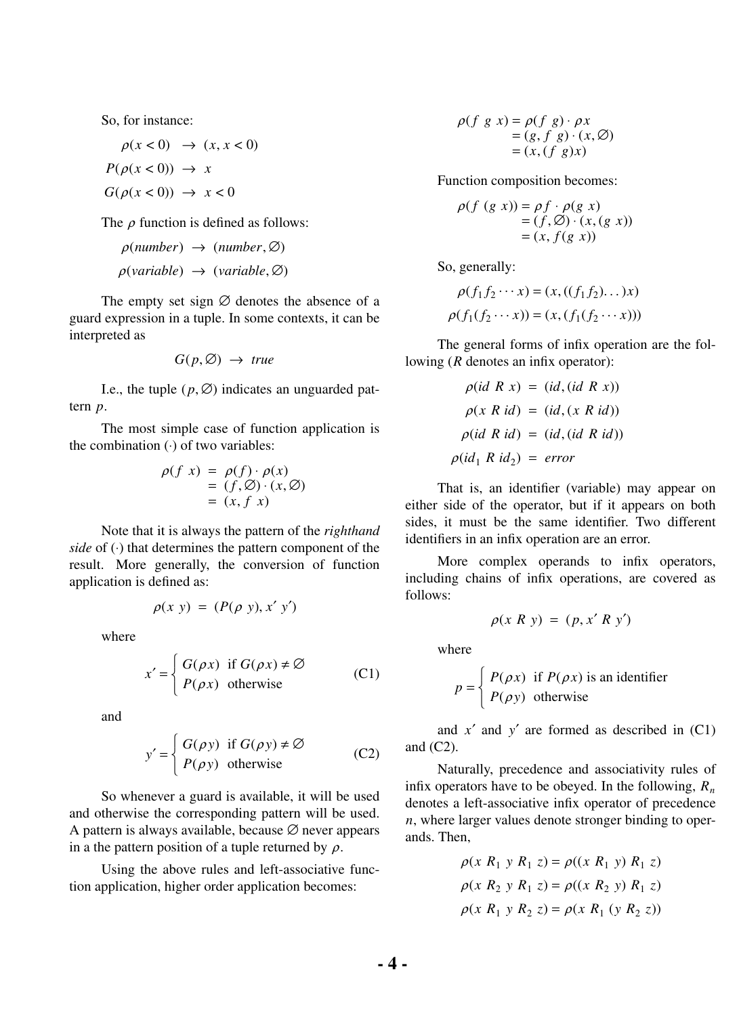So, for instance:

 $\rho(x < 0) \rightarrow (x, x < 0)$  $P(\rho(x < 0)) \rightarrow x$  $G(\rho(x < 0)) \rightarrow x < 0$ 

The  $\rho$  function is defined as follows:

$$
\rho(number) \rightarrow (number, \emptyset)
$$
  

$$
\rho(variable) \rightarrow (variable, \emptyset)
$$

The empty set sign  $\varnothing$  denotes the absence of a guard expression in a tuple. In some contexts, it can be interpreted as

$$
G(p, \emptyset) \rightarrow true
$$

I.e., the tuple  $(p, \emptyset)$  indicates an unguarded pattern *p*.

The most simple case of function application is the combination (⋅) of two variables:

$$
\rho(f \ x) = \rho(f) \cdot \rho(x)
$$
  
=  $(f, \emptyset) \cdot (x, \emptyset)$   
=  $(x, f \ x)$ 

Note that it is always the pattern of the *righthand side* of ⊙ that determines the pattern component of the result. More generally, the conversion of function application is defined as:

$$
\rho(x \, y) = (P(\rho \, y), x' \, y')
$$

where

$$
x' = \begin{cases} G(\rho x) & \text{if } G(\rho x) \neq \varnothing \\ P(\rho x) & \text{otherwise} \end{cases}
$$
 (C1)

and

$$
y' = \begin{cases} G(\rho y) & \text{if } G(\rho y) \neq \varnothing \\ P(\rho y) & \text{otherwise} \end{cases}
$$
 (C2)

So whenever a guard is available, it will be used and otherwise the corresponding pattern will be used. A pattern is always available, because  $\varnothing$  never appears in a the pattern position of a tuple returned by  $\rho$ .

Using the above rules and left-associative function application, higher order application becomes:

$$
\rho(f \ g \ x) = \rho(f \ g) \cdot \rho x
$$
  
= (g, f g) \cdot (x, \emptyset)  
= (x, (f g)x)

Function composition becomes:

$$
\rho(f (g x)) = \rho f \cdot \rho(g x)
$$
  
=  $(f, \emptyset) \cdot (x, (g x))$   
=  $(x, f(g x))$ 

So, generally:

$$
\rho(f_1 f_2 \cdots x) = (x, ((f_1 f_2) \dots) x)
$$
  

$$
\rho(f_1 (f_2 \cdots x)) = (x, (f_1 (f_2 \cdots x)))
$$

The general forms of infix operation are the following (*R* denotes an infix operator):

$$
\rho(id \ R \ x) = (id, (id \ R \ x))
$$

$$
\rho(x \ R \ id) = (id, (x \ R \ id))
$$

$$
\rho(id \ R \ id) = (id, (id \ R \ id))
$$

$$
\rho(id_1 \ R \ id_2) = error
$$

That is, an identifier (variable) may appear on either side of the operator, but if it appears on both sides, it must be the same identifier. Two different identifiers in an infix operation are an error.

More complex operands to infix operators, including chains of infix operations, are covered as follows:

$$
\rho(x R y) = (p, x' R y')
$$

where

*p* =  $\int$ ┤  $\overline{\mathfrak{l}}$  $P(\rho x)$  $P(\rho y)$ if  $P(\rho x)$  is an identifier otherwise

and  $x'$  and  $y'$  are formed as described in  $(C1)$ and (C2).

Naturally, precedence and associativity rules of infix operators have to be obeyed. In the following,  $R_n$ denotes a left-associative infix operator of precedence *n*, where larger values denote stronger binding to operands. Then,

$$
\rho(x R_1 y R_1 z) = \rho((x R_1 y) R_1 z)
$$
  
\n
$$
\rho(x R_2 y R_1 z) = \rho((x R_2 y) R_1 z)
$$
  
\n
$$
\rho(x R_1 y R_2 z) = \rho(x R_1 (y R_2 z))
$$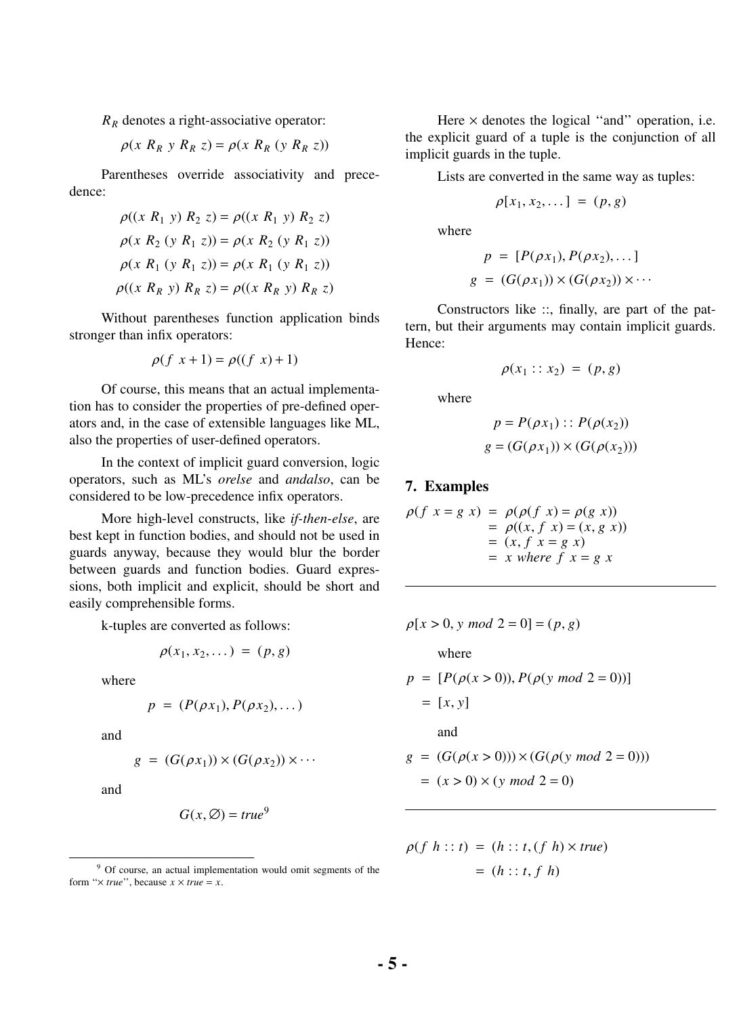*R<sup>R</sup>* denotes a right-associative operator:

$$
\rho(x R_R y R_R z) = \rho(x R_R (y R_R z))
$$

Parentheses override associativity and precedence:

$$
\rho((x R_1 y) R_2 z) = \rho((x R_1 y) R_2 z)
$$
  
\n
$$
\rho(x R_2 (y R_1 z)) = \rho(x R_2 (y R_1 z))
$$
  
\n
$$
\rho(x R_1 (y R_1 z)) = \rho(x R_1 (y R_1 z))
$$
  
\n
$$
\rho((x R_R y) R_R z) = \rho((x R_R y) R_R z)
$$

Without parentheses function application binds stronger than infix operators:

$$
\rho(f\ x+1) = \rho((f\ x)+1)
$$

Of course, this means that an actual implementation has to consider the properties of pre-defined operators and, in the case of extensible languages like ML, also the properties of user-defined operators.

In the context of implicit guard conversion, logic operators, such as ML's *orelse* and *andalso*, can be considered to be low-precedence infix operators.

More high-level constructs, like *if-then-else*, are best kept in function bodies, and should not be used in guards anyway, because they would blur the border between guards and function bodies. Guard expressions, both implicit and explicit, should be short and easily comprehensible forms.

k-tuples are converted as follows:

$$
\rho(x_1, x_2, \dots) = (p, g)
$$

where

$$
p = (P(\rho x_1), P(\rho x_2), \dots)
$$

and

$$
g = (G(\rho x_1)) \times (G(\rho x_2)) \times \cdots
$$

and

$$
G(x, \emptyset) = true^9
$$

Here  $\times$  denotes the logical "and" operation, i.e. the explicit guard of a tuple is the conjunction of all implicit guards in the tuple.

Lists are converted in the same way as tuples:

$$
\rho[x_1, x_2, \dots] = (p, g)
$$

where

$$
p = [P(\rho x_1), P(\rho x_2), \dots]
$$
  

$$
g = (G(\rho x_1)) \times (G(\rho x_2)) \times \dots
$$

Constructors like ::, finally, are part of the pattern, but their arguments may contain implicit guards. Hence:

$$
\rho(x_1::x_2) = (p,g)
$$

where

$$
p = P(\rho x_1) :: P(\rho(x_2))
$$
  

$$
g = (G(\rho x_1)) \times (G(\rho(x_2)))
$$

### **7. Examples**

$$
\rho(f \ x = g \ x) = \rho(\rho(f \ x) = \rho(g \ x))
$$
  
= 
$$
\rho((x, f \ x) = (x, g \ x))
$$
  
= 
$$
(x, f \ x = g \ x)
$$
  
= x where f \ x = g \ x

$$
\rho[x > 0, y \mod 2 = 0] = (p, g)
$$

where

$$
p = [P(\rho(x > 0)), P(\rho(y \mod 2 = 0))]
$$
  
= [x, y]  
and  

$$
g = (G(\rho(x > 0))) \times (G(\rho(y \mod 2 = 0)))
$$
  
= (x > 0) × (y \mod 2 = 0)

$$
\rho(f \; h::t) = (h::t, (f \; h) \times true)
$$

$$
= (h::t, f \; h)
$$

<sup>9</sup> Of course, an actual implementation would omit segments of the form " $\times$  *true*", because  $x \times true = x$ .